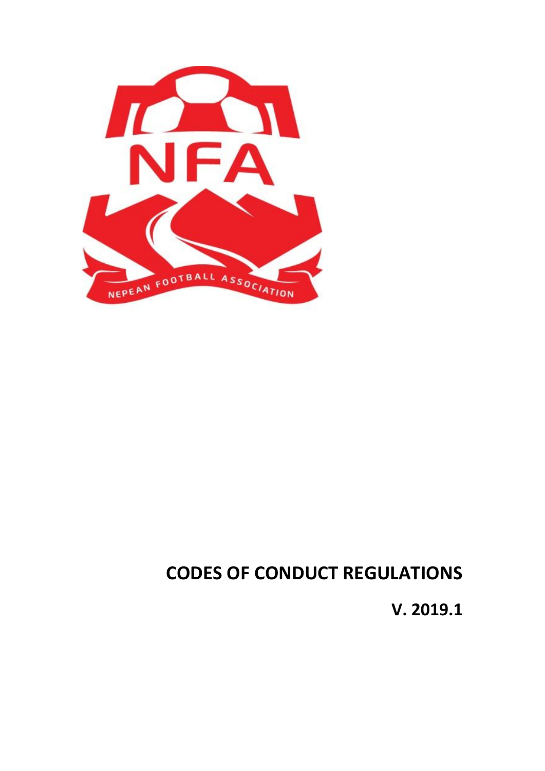

# **CODES OF CONDUCT REGULATIONS**

**V. 2019.1**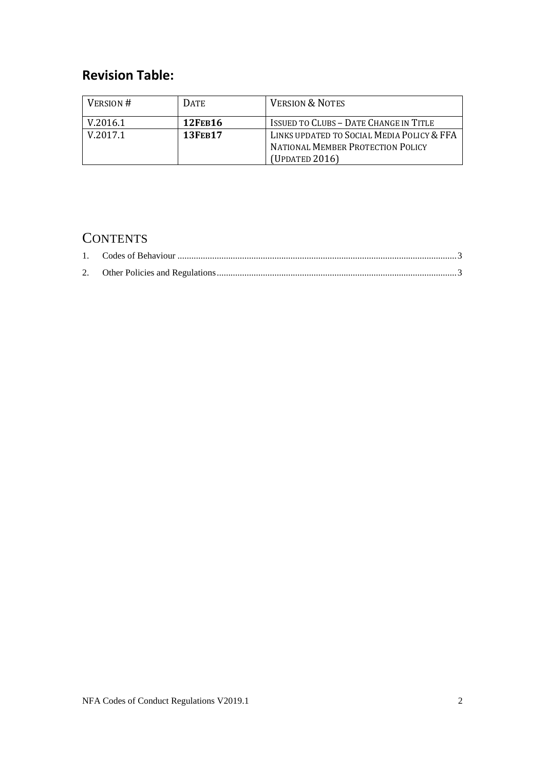## **Revision Table:**

| <b>VERSION &amp; NOTES</b>                                                                               |
|----------------------------------------------------------------------------------------------------------|
| <b>ISSUED TO CLUBS - DATE CHANGE IN TITLE</b>                                                            |
| LINKS UPDATED TO SOCIAL MEDIA POLICY & FFA<br><b>NATIONAL MEMBER PROTECTION POLICY</b><br>(Updated 2016) |
|                                                                                                          |

## **CONTENTS**